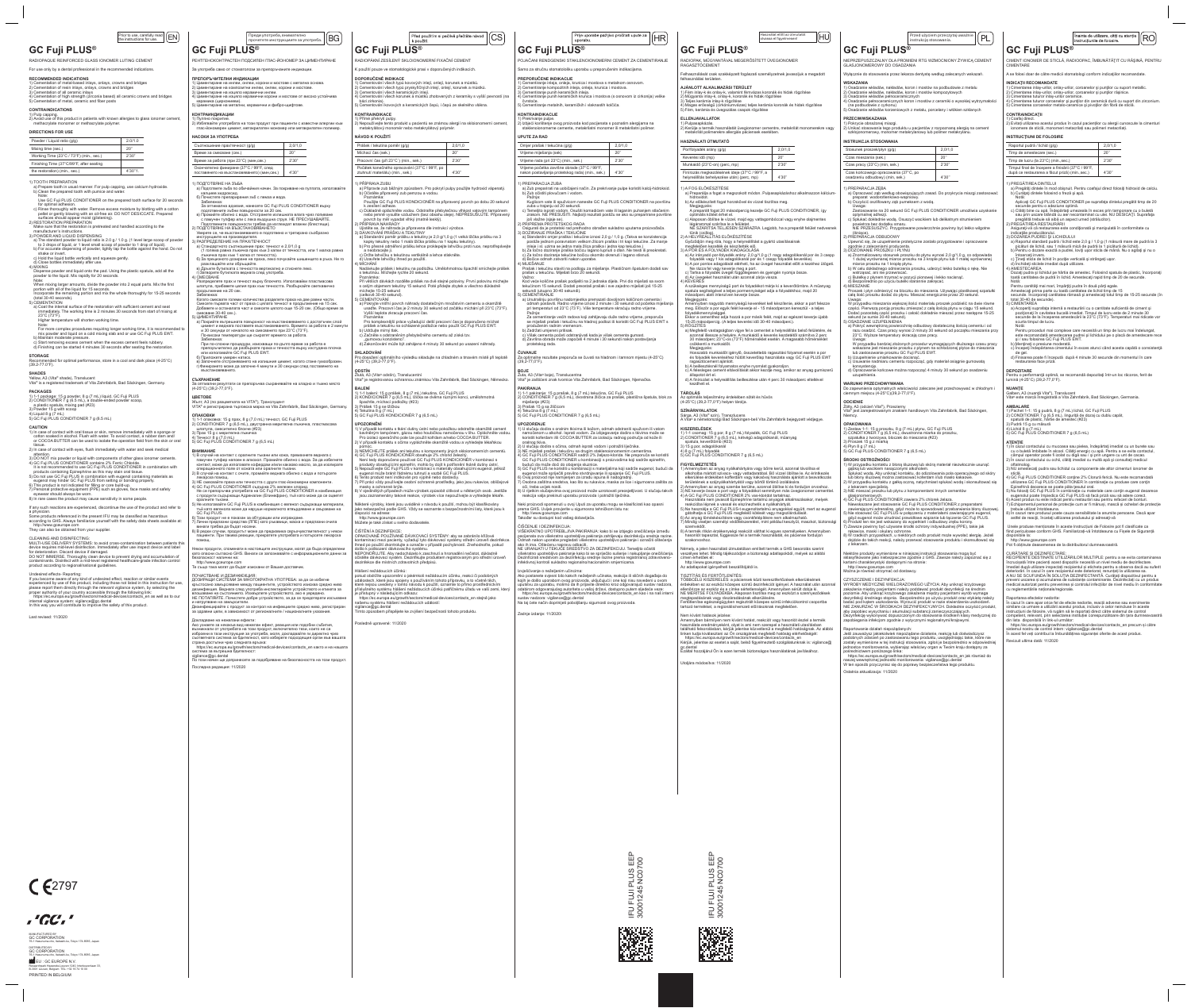### Prior to use, carefully read  $\left\lfloor \textsf{EN} \right\rfloor$

# **GC Fuji PLUS®**

RADIOPAQUE REINFORCED GLASS IONOMER LUTING CEMENT For use only by a dental professional in the recommended indications.

RECOMMENDED INDICATIONS<br>1) Cementation of metal-based inlays, onlays, crowns and bridges<br>2) Cementation of resin inlays, onlays, crowns and bridges<br>3) Cementation of all ceramic inlays<br>4) Cementation of high strength (zirc

1) Pulp capping. 2) Avoid use of this product in patients with known allergies to glass ionomer cement, methacrylate monomer or methacrylate polymer. **DIRECTIONS FOR USE** Powder / Liquid ratio (g/g) 2.0/1.0

Mixing time (sec.) 20"<br>Working Time (23°C / 73°F) (min., sec.) 2'30" Working Time (23°C / 73°F) (min., sec.) Finishing Time (37°C/99°F, after seating the restoration) (min., sec.) 4'30"1.

**CONTRAINDICATIONS**

1) TOOTH PREPARATION a) Prepare tooth in usual manner. For pulp capping, use calcium hydroxide. b) Clean the prepared tooth with pumice and water. Note: Use GC Fuji PLUS CONDITIONER on the prepared tooth surface for 20 seconds

for optimal adhesion.<br>
c) Rinse throughly with water. Remove excess moisture by blotting with a cotton<br>
pellet or gently blowing with an oil-free air. DO NOT DESICCATE. Prepared<br>
surfaces should appear moist (glistening).<br>

manufacturer's instructions.<br>
3) POWDER AND LIQUID DISPENSING<br>
a) The standard powder to liquid ratio is 2.0 g / 1.0 g. (1 level large scoop of powder<br>
to 3 drops of liquid, or 1 level small scoop of powder to 1 drop of li

a) Coat the internal surface of the restoration with sufficient cement and seat immediately. The working time is 2 minutes 30 seconds from start of mixing at 23°C (73°F). دc (ک) ۳٫<br>Higher temperature will shorten working time.

 $\Delta$  for optimal performance, store in a cool and dark place (4-25°C). (39.2-77.0°F).

c) Hold the liquid bottle vertically and squeeze gently.

d) Close bottles immediately after use. 4) MIXING Dispense powder and liquid onto the pad. Using the plastic spatula, add all the powder to the liquid. Mix rapidly for 20 seconds. Note:

When mixing larger amounts, divide the powder into 2 equal parts. Mix the first<br>portion with all of the liquid for 15 seconds.<br>Incorporate the remaining portion and mix the whole thoroughly for 15-25 seconds<br>(total 30-40 s

Note: For more complex procedures requiring longer working time, it is recommended to mix powder and liquid on a cold mixing slab and or use GC Fuji PLUS EWT.

CLEANING AND DISINFECTING:<br>MULTI-USE DELIVERY SYSTEMS: to avoid cross-contamination between patients this<br>device requires mid-level disinfection. Immediately after use inspect device and label<br>for deterioration. Discard de contaminants. Disinfect with a mid-level registered healthcare-grade infection control product according to regional/national guidelines.

# Undesired effects- Reporting:<br>If you become aware of any kind of undesired effect. reaction or similar events

b) Maintain moderate pressure. c) Start removing excess cement when the excess cement feels rubbery. d) Finishing can be started 4 minutes 30 seconds after seating the restoration. **STORAGE**

If you become aware of any kind of undesired effect, reaction or similar events<br>experienced by use of this product, including those not listed in this instruction for use,<br>please report them directly through the relevant v https://ec.europa.eu/growth/sectors/medical-devices/contacts\_en as well as to our internal vigilance system: vigilance@gc.dental In this way you will contribute to improve the safety of this product.

**SHADES**

Yellow, A3 (Vita® shade), Translucent Vita® is a registered trademark of Vita Zahnfabrik, Bad Säckingen, Germany.

EU : GC EUROPE N.V. Researchpark Haasrode-Leuven 1240, Interleuvenlaan 33, B-3001 Leuven, Belgium TEL: +32 16 74 10 00 РЕНТГЕНОКОНТРАСТЕН ПОДСИЛЕН ГЛАС-ЙОНОМЕР ЗА ЦИМЕНТИРАНЕ .<br>За употреба само от стоматолози за препоръчаните индикации

ПРЕПОРЪЧИТЕЛНИ ИНДИКАЦИИ<br>1) Циментиране на инлеи, онлеи, корони и мостове с метална основа.<br>2) Циментиране на композитни инлеи, онлеи, корони и мостове.<br>3) Циментиране на изцяло керамични инлеи.<br>4) Циментиране на изцяло к

**PACKAGES** 1) 1-1 package: 15 g powder, 8 g (7 mL) liquid, GC Fuji PLUS 2) CONDITIONER 7 g (6.5 mL), a double-ended powder scoop, a plastic spatula, mixing pad (#23)

3) Powder 15 g with scoop 4) Liquid 8 g (7 mL) 5) GC Fuji PLUS CONDITIONER 7 g (6.5 mL)

**CAUTION**<br>1) In case of contact with oral tissue or skin, remove immediately with a sponge or<br>cotton soaked in alcohol. Flush with water. To avoid contact, a rubber dam and/<br>or COCOA BUTTER can be used to isolate the opera

ussue.<br>2) In case of contact with eves, flush immediately with water and seek medical

2) In case of contact with eyes, flush immediately with water and seek medical<br>3) DO NOT mix powder or liquid with components of other glass ionomer cements.<br>4) GC Fuji PLUS CONDITIONER contains 2% Ferric Chloride.<br>It is n

If any such reactions are experienced, discontinue the use of the product and refer

a physician. Some products referenced in the present IFU may be classified as hazardous according to GHS. Always familiarize yourself with the safety data sheets available at: http://www.gceurope.com They can also be obtained from your supplier.

ПОЧИСТВАНЕ И ДЕЗИНФЕКЦИЯ: ДОЗИРАЩИ СИСТЕМИ ЗА МНОГОКРАТНА УПОТРЕБА: за да се избегне кръстосано замърсяване между пациентите, устройството изисква средно ниво<br>дезинфекция. Веднага след употреба инспектирайте устройството и етикета за<br>влошаване на състоянието. Изхвърлете устройството, ако е увредено.<br>НЕ ПО и натрупване на замърсители. Дезинфекцирайте с продукт за контрол на инфекциите средно ниво, регистриран за здравни цели, в зависимост от регионалните / националните указан**и** 

Докладване на нежелани ефекти:<br>Ако узнаете за някакъв вид нежелан ефект, реакция или подобни събития,<br>възникнали от употребата на този продукт, включително тези, които не са<br>изброени в тази инструкция за употреба, моля, д страна достъпни чрез следната връзка:<br>- https://ec.europa.eu/growth/sectors/medical-devices/contacts\_en както и на нашата<br>система за вътрешна бдителност:

Last revised: 11/2020

 $C<sub>2797</sub>$ 

MANUFACTURED BY GC CORPORATION

, 'GC', '

76-1 Hasunuma-cho, Itabashi-ku, Tokyo 174-8585, Japan DISTRIBUTED BY GC CORPORATION 76-1 Hasunuma-cho, Itabashi-ku, Tokyo 174-8585, Japan

PRINTED IN BELGIUM

# **GC Fuji PLUS®**

5) Циментиране на метални, керамични и фибро-щифтове. **КОНТРАИНДИКАЦИИ**

1) Пулпно покритие. 2) Избягвайте употребата на този продукт при пациенти с известни алергии към глас-йономерен цимент, метакрилатен мономер или метакрилатен полимер. **НАСОКИ ЗА УПОТРЕБА**

| Съотношение прах/течност (g/g)                                                         | 2.0/1.0 |
|----------------------------------------------------------------------------------------|---------|
| Време за смесване (сек.)                                                               | 20"     |
| Време за работа (при 23°С) (мин,сек.)                                                  | 2'30"   |
| Окончателно финиране (37°С / 99°F, след<br>поставянето на възстановяването) (мин,сек.) | 4'30"   |

1) ПОДГОТВЯНЕ НА ЗЪБА а) Подгответе зъба по обичайния начин. За покриване на пулпата, използвайте калциев хидроксид.

6) Почистете препарирания зъб с пемза и вода.<br>
3абележка:<br>
3а отлимална адхезия, нанесете СС Fuji PLUS CONDITIONER върху<br>
подготвените зъбни повърхности за 20 сек.<br>
в) Промийте болно с вода. Отстранете малишната влага чре

a) Pokryjte vnitřní povrch náhrady dostatečným množstvím cementu a okamžitě<br>usaďte. Pracovní čas je 2 minuty 30 sekund od začátku míchání při 23°C (73°F).<br>Vyšší teplota zkracuje pracovní čas. Poznámka: Pro komplexnější práce vyžadující delší pracovní čas je doporučeno míchat prášek a tekutinu na ochlazené podložce nebo použít GC Fuji PLUS EWT.

**SKLADOVÁNÍ** Iního výsledku skladujte na chladném a tmavém místě při teplotě -ro dosazeni optimalnii<br>4-25°C) (39,2-77,0°F).

**ODSTIN**<br>Žlutá, A3 (Vita® odstín), Translucentní<br>Vita® je registrovanou ochrannou známkou Vita Zahnfabrik, Bad Säckingen, Německo.

**BALENI**<br>1) 1-1 balení: 15 g prášek, 8 g (7 mL) tekutina, GC Fuji PLUS<br>2) KONDICIONÉR 7 g (6,5 mL), lžička se dvěma různými konci, umělohmotná

špachtle, míchací podložky (#23)<br>3) Prášek 15 g se lžičkou<br>4) Tekutina 8 g (7 mL)<br>5) GC Fuji PLUS KONDICIONÉR 7 g (6,5 mL)

**UPOZORNENI**<br>1) V případě kontaktu s tkání dutiny ústní nebo pokožkou odstraňte okamžitě cement bavlněným tampónem, gázou nebo houbičkou namočenou v lihu. Opláchněte vodou.<br>Pro izolaci operačního pole lze použít kofrdam a/nebo COCOA BUTTER.<br>2) V případě kontaktu s očima vypláchněte okamžitě vodou a vyhledejte lékařsk

а) Стандартното съотношение прах: течност е 2,0/1,0 g (1 голяма равна лъжичка прах към 3 капки от течността, или 1 малка равна

л лъжичка прах към 1 капка от течността).<br>6) За прецизното дозиране на праха, леко почукайте шишенцето в ръка. Не го<br>р адклащайте или обръщайте.<br>в) Дръжте бутилката веднага след употреба.<br>г) Затворете бутилката веднага сл

4) СМЕСВАНЕ Разпределете прах и течност върху блокчето. Използвайки пластмасова шпатула, прибавете целия прах към течността. Разбъркайте светкавично продължение на 20 сек.

Забележка:<br>Когато смесвате големи количества разделете праха на две равни части.<br>Смесете първата част от праха с цялата течност в продължение на 15 сек.<br>Добавете и останалата част и смесете цялото още 15-20 сек. (Общо вре

produkty obsahujícími epinefnin, mohlo by dojit k poříšnehi tkáně dutiny ústní.<br>5) Nepoužívejte GC Fuji PLUS v kombinaci s materiály obsahujícími eugenol, jelikož<br>eugenol může bránit řádnému tuhnutí a vazbě GC Fuji PLUS.<br> jsou zaznamenány takové reakce, výrobek více nepoužívejte a vyhledejte lékaře.

Забележкa: При по-сложни процедури, изискващи по-дълго време за работа е

препоръчително да разбъркате праха и течността върху изстудена плочка или използвайте GC Fuji PLUS EWT. б) Приложете умерен натиск. в) Започнете отстраняването на излишния цимент, когато стане гумообразен. г)Финирането може да започне 4 минути и 30 секунди след поставянето на

възстановяването.

**СЪХРАНЕНИЕ**<br>За оптмални резултати се препоръчва съхранявайте на хладно и тъмно място<br>(4-25°C) (39,2-77,0°F).

**ЦВЕТОВЕ**<br>Жълт, А3 (по разцветката на VITA®), Транслуцент<br>VITA® е регистрирана търговска марка на Vita Zahnfabrik, Bad Säckingen, Germany.

**ОПАКОВКИ**<br>1) 1-1 опаковка: 15 g прах, 8 g (7,0 mL) течност, GC Fuji PLUS<br>2) CONDITIONER 7 g (6,5 mL), двустранна мерителна лъжичка, пластмасова<br>3) Прах 15 g с мерително блокче (#23)<br>3) Прах 15 g с мерителна лъжичка<br>4) Те

ВНИМАНИЕ<br>1) В случай на контакт с оралните тъкани или кожа, премахнете веднага с<br>памучен тупфер напоен в алкохол. Промийте обилно с вода. За да избегнете<br>контакт, може да използвате кофердам и/или какаово масло, за да изо

л вкарска помощ.<br>3) НЕ смесвайте праха или течността с други глас-йономерни компоненти.<br>4) GC Fuji PLUS CONDITIONER съдържа 2% железен хлорид.<br>- Не се препоръчва употребата на GC Fuji PLUS CONDITIONER в комбинация<br>- с пр

Omjer prašak / tekućina (g/g) 2,0/1,0 Vrijeme miješanja (sek) 20'' Vrijeme rada (pri 23°C) (min., sek.) 2'30" Vrijeme početka završne obrade (37°C / 99°F, nakon postavljanja protetskog rada) (min., sek.) 4'30''

Prašak i tekućinu staviti na podlogu za miješanje. Plastičnom špatulom dodati sav prašak u tekućinu. Miješati brzo 20 sekundi. Važno: Kod veće količine prašak podijeliti na 2 jednaka dijela. Prvi dio miješati sa svom tekućinom 15 sekundi. Dodati preostali prašak i sve zajedno miješati još 15-25 sekundi (ukupno 30-40 sekundi). .i (ukupno 30-40 sekundı).<br>NTIRANJE<br>ıtrašniu površinu nadomiestka premazati dovolinom količi

a) Unutrašnju površinu nadomjestka premazati dovoljnom količinom cementa i<br>odmah postaviti. Radno vrijeme iznosi 2 minute i 30 sekundi od početka miješanja<br>pri temperaturi od 23°C (73'F). Više temperature skraćuju radno vr

оралните тъкани. 5) Не използвайте GC Fuji PLUS в комбинация с евгенол съдържащи материали, тъй като евгенола може да наруши нормалното втвърдяване и свързване на GC Fuji PLUS. 6) Този продукт не е показан за обтурации или изграждане.

7) Лични предпазни средства (ЛПЕ) като ръкавици, маска и предпазни очила<br>- винаги трябва да бъдат носени.<br>8) В редки случаи, продуктът може да предизвика свръхчувствителност у някои<br>- пациенти. При такива реакции, прекрат

Някои продукти, споменати в настоящите инструкции, могат да бъда определени като опасни съгласно GHS. Винаги се запознавайте с информационните данни за

безопасност налични на: http://www.gceurope.com Те също така могат да бъдат изискани от Вашия доставчик.

ČIŠĆENJE I DEZINFEKCIJA: VIŠEKRATNO UPOTREBLJIVA PAKIRANJA: kako bi se izbjeglo onečišćenje između pacijenata ova višekratno upotrebljiva pakiranja zahtijevaju dezinfekciju srednje razine.<br>Odmah nakon uporabe pregledati višekratno upotrebljivo pakiranje i označiti oštećenja<br>ako ih ima. Oštećenu napravu odbaciti.<br>NE URAN višekratno upotrebljivo pakiranje kako bi se spriječilo sušenje i nakupljanje onečišćenja.<br>Dezinficirati sredstvom za dezinfekciju srednje razine prema registriranoj zdravstveno-<br>infektivnoj kontroli sukladno regionalno/na Izvješćivanje o neželjenim učincima: Ako postanete svjesni bilo kakvih neželjenih učinaka, reakcija ili sličnih događaja do kojih je došlo uporabom ovog proizvoda, uključujući i one koji nisu navedeni u ovom<br>uputstvu za uporabu, molimo da ih prijavite direktno kroz odgovarajući sustav nadzora,<br>odabirom odgovarajućeg autoriteta u vašoj državi, d RADIOPAK, MUGYANTÁVAL MEGERŐSÍTETT ÜVEGIONOMER<br>RAGASZTÓCEMENT Felhasználását csak szakképzett fogászati személyzetnek javasoljuk a megadott

vigilance@gc.dental По този начин ще допринесете за подобряване на безопасността на този продукт. Последна редакция: 11/2020

**DOPORUČENÉ INDIKACE**<br>1) Cementování všech typů kovových inlejí, onlejí, korunek a můstků.<br>2) Cementování všech typů pryskyřičných inlejí, onlejí, korunek a můstků. 3) Cementování všech keramických inlejí. 4) Cementování všech korunek a můstků zhotovených z keramiky s vyšší pevností (na ı Gementov<br>bázi zirkor -···*-).*<br>›vání kovových a keramických čepů, i čepů ze skelného vlákna **KONTRAINDIKACE** 1) Přímé překrytí pulpy. 2) Nepoužívejte tento produkt u pacientů se známou alergií na skloionomerní cement, metakrylátový monomér nebo metakrylátový polymér. **NÁVOD K POUŽITÍ** Prášek / tekutina poměr (g/g) 2,0/1,0 Míchací čas (sek.) 20" Pracovní čas (při 23°C´) (min., sek.) 2'30" Počátek konečného opracování (37°C / 99°F, po ztuhnutí materiálu) (min., sek.) 4'30'' 1) PRIPRAVA ZUBU<br>a) Připravte zub běžným způsobem. Pro pokrytí pulpy použijte hydroxid vápenatý.<br>b) Očistěte připravený zub pemzou a vodou.



**GC Fuji PLUS®**

RADIOPÁKNÍ ZESÍLENÝ SKLOIONOMERNÍ FIXAČNÍ CEMENT K použití pouze ve stomatologické praxi v doporučených indikacích.

Před použitím si pečlivě přečtěte návod  $\left\vert \left( \mathbf{CS}\right) \right\vert$ 

**HASZNÁLATI ÚTMUTATÓ** Por/folyadék arány (g/g) Keverési idő (mp) Munkaidő (23°C-on) (p

### nálat előtt az útmutatót $\Box$ olvassa el figyelmesen!

optimális kötést érhet el.<br>c) Alaposan öblítse le vízzel, majd egy vattagombóccal vagy enyhe olajmentes<br>légárammal szárítsa le a felületet.<br>NE SZÁRÍTSA TELJESEN SZÁRAZRA. Legjobb, ha a preparált felület nedvesnek tűnik (csillog). 2) A HELYREÁLLÍTÁS ELŐKÉSZÍTÉSE

Megjegyzés: Amennyiben nagyobb mennyiségű keveréket kell készítenie, akkor a port felezze meg. Először a por egyik felét keverje el - 15 másodpercen keresztül - a telje

Poznámka: Použijte GC Fuji PLUS KONDICIONÉR na připravený povrch po dobu 20 sekund k zesílení adheze. c) Důkladně opláchněte vodou. Odstraňte přebytečnou vlhkost vatovým tampónem nebo jemně vysušte vzduchem (bez obsahu oleje). NEPŘESUŠUJTE. Připravený povrch by měl vypadat vlhký (matně lesklý).

2) PRIPRAVA NAHRADY<br>3) DÁVKOVÁNÍ PRÁŠKU A TEKUTINY<br>3) DÁVKOVÁNÍ PRÁŠKU A TEKUTINY<br>a) Standardní poměr prášku a tekutiny je 2,0 g/1,0 g (1 velká lžička prášku na 3<br>kapky tekutiny nebo 1 malá lžička prášku na 1 kapku tekutin

a neobracejte ji. c) Držte lahvičku s tekutinou vertikálně a lehce stiskněte. d) Uzavřete lahvičky ihned po použití. 4) MÍCHÁNÍ

Nadávkujte prášek i tekutinu na podložku. Umělohmotnou špachtlí smíchejte prášek s tekutinou. Míchejte rychle 20 sekund.

Poznámka:<br>Při větších dávkách rozdělte prášek na dvě stejné poloviny. První polovinu míchejte<br>s celým objemem tekutiny 15 sekund. Poté přidejte zbytek a všechno důkladně<br>míchejte 15-25 sekund<br>(celkově 30-40 sekund).<br>5) CEM

3) NE keverje össze a port vagy a folyadékot semmilyen más üvegionomer cementtel.<br>4) A GC Fuji PLUS CONDITIONER 2% vas-kloridot tartalmaz.<br>Használata nem javasolt Epinephrine tartalmú anyagok alkalmazásakor, melyek<br>reakció 7) Mindig viseljen személyi védőfelszerelést, mint például kesztyűt, maszkot, biztonsági

TISZTÍTÁS ÉS FERTŐTLENÍTÉS: BBCÉLÚ KISZERELÉS: a páciensek közti keresztfertőzések elkerülésének érdekében ez az eszköz közepes szintű dezinfekciót igényel. A használat után azonnal<br>ellenőrizze az eszköz és a címke sértetlenségét. Amennyiben sérült dobja ki.<br>NE MERÍTSE FOLYADÉKBA. Alaposan tisztítsa meg az eszközt a s megtapadásának vagy rászáradásának elkerülésére.<br>Fertőtlenítse egészségügyben regisztrált közepes szintű infekciókontrol csoportba<br>tartozó termékkel, a regionális/nemzeti előírásoknak megfelelően.

b) Udržujte mírný tlak. c) Začněte s odstraněním přebytečného cementu až získá tzv.

"gumovou konzistenci".<br>d) Zakončování může být zahájeno 4 minuty 30 sekund po usazení náhrady.

Nem kívánt hatások jelzése:<br>Amennyiben bármilyen nem kívánt hatást, reakciót vagy hasonlót észlel a termék<br>használata eredményeként, olyat is ami nem szerepel a használati utasításban<br>található felsorolásban, kérjük jelent https://ec.europa.eu/growth/sectors/medical-devices/contacts\_en Kérjük, jelentse az esetet a saját, belső figyelmeztető szolgálatunknak is: vigilance@

NIEPRZEPUSZCZALNY DLA PROMIENI RTG WZMOCNIONY ŻYWICĄ CEMENT GLASJONOMEROWY DO OSADZANIA .<br>Włacznie do stosowania przez lekarza dentyste według zalecanych wskazań

Przed użyciem przeczytaj uważnie  $\parallel {\sf PL}$ 

niun<br>zanie wkładów, nakładów, koron i mostów na podbudowie z metalu

pomoc. 3) NEMÍCHEJTE prášek ani tekutinu s komponenty jiných skloionomerních cementů. 4) GC Fuji PLUS KONDICIONÉR obsahuje 2% chlorid železitý. Není tedy doporučeno používat GC Fuji PLUS KONDICIONÉR v kombinaci s

Některé výrobky, které jsou uváděné v návodu k použití, mohou být klasifikovány jako nebezpečné podle GHS. Vždy se seznamte s bezpečnostními listy, které jsou k dispozici na adrese: http://www.gceurope.com

- 3) DOZOWANIE PROSZKU I PEYNU<br>
a zachodne proszku do płynu wynosi 2,0 g/1,0 g, co odpowiada<br>
1 dużej wyrównanej miarce proszku na 3 kropie płynu lub 1 małej wyrównanej<br>
miarce proszku na 1 kropie płynu.<br>
miarce proszku, ude
- 
- d) Bezpośrednio po użyciu butelki starannie zakręcać. 4) MIESZANIE
- Proszek i płyn odmierzyć na bloczku do mieszania. Używając plastikowej szpatułki całą ilość proszku dodać do płynu. Mieszać energicznie przez 20 sekund. <sub>owaga.</sub><br>W przypadku mieszania większej ilości materiału proszek podzielić na dwie równ
- W przypadku mieszania większej ilości materiału proszek podzielić na dwie rówczęści. Pierwszą porcję proszku zmieszać z całą liością płynu w ciągu 15 sekund.<br>Dodać pozostałą część proszku i całość dokładnie mieszać przez n 23°C. Wyższe temperatury skracają czas pracy.
- Uwaga:<br>W przypadku bardziej złożonych procedur wymagających dłuższego czasu pracy<br>wskazane jest mieszanie proszku z płynem na schłodzonej płytce do mieszania<br>lub zastosowanie proszku GC Fuji PLUS EWT.<br>b) Uzupełnienie umiar
- c) Usuwanie nadmiaru cementu rozpocząć, gdy materiał osiągnie gumowatą konsystencję. d) Opracowanie końcowe można rozpocząć 4 minuty 30 sekund po osadzeniu
- uzupełnienia. **WARUNKI PRZECHOWYWANIA**

Můžete je také získat u svého dodavatele.

CISTENI A DEZINFEKCE:<br>OPAKOVANĚ POUŽÍVANÉ DÁVKOVACÍ SYSTÉMY: aby se zabránilo křížové<br>kontaminaci mezi pacienty, vyžadují tyto dávkovací systémy střední úroveň dezinfekce.<br>Ihned po použití zkontrolujte a označke v případě

ášení nežádoucích účinků:<br>kud obdržíte upozornění o jakémkoli nežádoucím účinku, reakci či podobnýcl pokud obdržíte upozornění o jakémkoli nežádoucím účinku, reakci či podobných<br>událostech, které jsou spojeny s používáním tohoto přípravku, a to včetně těch,<br>které nejsou uvedeny v tomto návodu k použití, oznamte to přímo p

je přístupný v následujícím odkazu: https://ec.europa.eu/growth/sectors/medical-devices/contacts\_en stejně jako našemu systému hlášení nežádoucích událostí: vigilance@gc.dental Tímto způsobem přispějete ke zvýšení bezpečnosti tohoto produktu.

osledně upravené: 11/2020

Prije uporabe pažljivo pročitati upute za

**GC Fuji PLUS®**

POJAČANI RENDGENSKI STAKLENOIONOMERNI CEMENT ZA CEMENTIRANJE Samo za stručnu stomatološku uporabu u preporučenim indikacijama.

PREPORUCENE INDIKACIJE<br>1) Cementiranje inleja, onleja, krunica i mostova s metalnom osnovom.<br>2) Cementiranje kompozitnih inleja, onleja, krunica i mostova.<br>3) Cementiranje punih keramičkih inleja.<br>4) Cementiranje punih ker

# **GC Fuji PLUS®** mainte de utilizare, citiți cu atenție  $\bigcap_{\text{RO}}$

čvrstoće. 5) Cementiranje metalnih, keramičkih i vlaknastih kolčića.

**KONTRAINDIKACIJE**

1) Prekrivanje pulpe. 2) Izbjeći korištenje ovog proizvoda kod pacijenata s poznatim alergijama na staklenoionomerne cemente, metakrilatni monomer ili metakrilatni polimer.

**UPUTE ZA RAD**

1) PREPARACIJA ZUBA a) Zub preparirati na uobičajeni način. Za prekrivanje pulpe koristiti kalcij-hidroksid. b) Zub očistiti plovučcem i vodom.

Pažnja:<br>Kuglicom vate ili spužvicom nanesite GC Fuji PLUS CONDITIONER na površinu<br>zuba u trajanju od 20 sekundi.<br>c) Temeljito isprati vodom. Osušiti komadićem vate ili laganim puhanjem stlačenim<br>zrakom. NE PRESUŠITI. Najbo

2) PRIPRIEMA PROTETSKOG RADA<br>
obrazi predstava predstava predstava predstava predstava predstava predstava i protestski rad predstava do poznatni mjer pravisa i SIDOZIRANJE PRAŠKA I TEKUĆINE<br>
a) SIDOZIRANJE PRAŠKA I TEKUĆI

Pažnja:

Za cementiranje većih radova koji zahtijevaju duže radno vrijeme, preporuča se miješati prašak i tekućinu na hladnoj podlozi ili koristiti GC Fuji PLUS EWT s produženim radnim vremenom.

-<br>Ilne rezultate preporuča se čuvati na hladnom i tamnom mjestu (4-25°C)

**PAKIRANJA**<br>1) 1-1 pakiranje: 15 g prašak, 8 g (7 mL) tekućina, GC Fuji PLUS<br>2) CONDITIONER 7 g (6,5 mL), dvostrana žličica za prašak, plastična špatula, blok za

UPOZORENJE<br>1) U slučaju dodira s oralnim tkivima ili kožom, odmah odstraniti spužvom ili vatom<br>namočenom u alkohol. Isprati vodom. Za izbjegavanje dodira s tkivima može se<br>koristiti koferdam i/ili COCOA BUTTER za izolaciju ر برندی در این محمد برند.<br>I slučaju dodira s očima, odmah isprati vodom i potražiti liječnika.

2) U slučaju dodira s očima, odmah isprati vodom i potražiti liječnika.<br>3) NE miješati prašak i tekućinu sa drugim staklenoionomernim cementima.<br>4) GC Fuji PLUS CONDITIONER sadrži 2% željezo-kdorida. Ne preporuča se korist

Neki proizvodi spomenuti u ovoj Uputi za uporabu mogu se klasificirati kao opasni<br>prema GHS. Uvijek provjerite u sigurnosno tehničkom listu na:<br>http://www.gceurope.com<br>Također su dostupni kod vašeg dobavljača.

**ČUVANJE**

(39,2-77,0°F).

CURATARE ȘI DEZINFECTARE:<br>RECIPIENTE DESTINFECTARE:<br>RECIPIENTE DESTINATE UTILIZĂRILOR MULTIPLE: pentru a se evita contaminarea<br>Incrucișată între pacienți acest dispozitiv necesită un nivel mediu de dezinfectare.<br>Imediat du preveni uscarea și acumularea de substanțe contaminante. Dezinfectați cu un produs medical autorizat pentru prevenirea și controlul infecțiilor de nivel mediu în conformitate cu reglementările naționale/regionale.

miješanje (#23) 3) Prašak 15 g sa žličicom 4) Tekućina 8 g (7 mL) 5) GC Fuji PLUS CONDITIONER 7 g (6,5 mL)

https://ec.europa.eu/grow

aportarea efectelor nedorite:<br>| cazul în care apar orice fel de efecte nedorite, reactii adverse sau evenimente In cazul în care apar orice fel de efecte nedorite, reacții adverse sau evenimente similare ca umare a utilizarii acestui produs, inclusiv a celor neincluse în aceste<br>instrucțiuni de folosire, vă rugăm să le raportați dire sistemul nostru de control intern: vigilance@gc.dental În acest fel veți contribui la îmbunătățirea siguranței oferite de acest produs. Revizuit ultima dată: 11/2020

IFU FUJI PLUS EEP<br>30001245 NC0700 IFU FUJI PLUS EEP 30001245 NC0700

reakcija valja prekinuti uporabu proizvoda i potražiti liječnika.

sustav nadzora: vigilance@gc.dental Na taj ćete način doprinijeti poboljšanju sigurnosti ovog proizvoda.

b) Zadržati umjereni pritisak.<br>c) Višak cementa početi odstranjivati kada je višak cementa gumast.<br>d) Završna obrada može započeti 4 minute i 30 sekundi nakon postavljanja<br>protetskog rada.

**BOJE**<br>Žuta, A3 (Vita® boje), Translucentna<br>Vita® je zaštićeni znak tvornice Vita Zahnfabrik, Bad Säckingen, Njemačka.

Zadnje izdanje: 11/2020\

# **GC Fuji PLUS®**

felhasználási területen.

**AJÁNLOTT ALKALMAZÁSI TERÜLET** 1) Fém inlay-k és onlay-k, valamint fémvázas koronák és hidak rögzítése 2) Műgyanta inlay-k, onlay-k, koronák és hidak rögzítése 3) Teljes kerámia inlay-k rögzítése

4) Magas erősségű (cirkóniumvázas) teljes kerámia koronák és hidak rögzítése 5) Fém, kerámia és üvegszálas csapok rögzítése

**ELLENJAVALLATOK**

1) Pulpasapkázás. 2) Kerülje a termék használatát üvegionomer cementre, metakrilát monomerekre vagy metakrilát polimerekre allergiás páciensek esetében.

| Ó                        |         |
|--------------------------|---------|
|                          | 2,0/1,0 |
|                          | 20"     |
| rc, mp)                  | 2'30"   |
| ek ideje (37°C / 99°F, a | .       |

Finírozás megkezdésének ideje (37°C / 99°F, a helyreállítás behelyezése után) (perc, mp) 4'30'' 1) A FOG ELŐKÉSZÍTÉSE a) Preparálja a fogat a megszokott módon. Pulpasapkázáshoz alkalmazzon kálcium-

hidroxidot. b) Az előkészített fogat horzskővel és vízzel tisztítsa meg.

Megjegyzés: A preparált fogat 20 másodpercig kezelje GC Fuji PLUS CONDITIONER, így

Győződjön meg róla, hogy a helyreállítást a gyártó utasításainak megfelelően kezelték és készítették elő. 3) A POR ÉS A FOLYADÉK KIADAGOLÁSA

a) Az irányadó por-folyadék arány: 2,0 g/1,0 g (1 nagy adagolókanál por és 3 csepp<br>folyadék vagy 1 kis adagolókanál por és 1 csepp folyadék keveréke).<br>b) A por pontos adagolását elérheti, ha az üveget használat előtt a kez

4) KEVERÉS A szükséges mennyiségű port és folyadékot mérje ki a keverőtömbre. A műanyag spatula segítségével a teljes pormennyiséget adja a folyadékhoz, majd 20 másodperc alatt intenzíven keverje össze.

folyadékmennyiséggel. Ekkor a cementhez adja hozzá a por másik felét, majd az egészet keverje újabb 15-25 másodpercig. (A teljes keverési idő 30-40 másodperc). 5) RÖGZÍTÉS a) Megfelelő vastagságban vigye fel a cementet a helyreállítás belső felületére, és

azonnal illessze a helyére. A munkaidő a keverés kezdetétől számítva 2 perc 30 másodperc 23°C-os (73°F) hőmérséklet esetén. A magasabb hőmérséklet csökkenti a munkaidőt. Megjegyzés: Hosszabb munkaidőt igénylő, összetettebb ragasztási folyamat esetén a por és folyadék keveréséhez hűtött keverőlap használata vagy GC Fuji PLUS EWT

ragasztócement ajánlott. b) A beillesztésnél folyamatos enyhe nyomást gyakoroljon. c) A felesleges cement eltávolítását akkor kezdje meg, amikor az anyag gumiszerű

állapotot ért el. d) A finírozást a helyreállítás beillesztése után 4 perc 30 másodperc elteltével

kezdheti el.

**TÁROLÁS** Az optimális teljesítmény érdekében sötét és hűvös (4-25°C) (39,2-77,0°F) helyen tárolja.

**SZÍNÁRNYALATOK**

Sárga, A3 (Vita® szín), Transzlucens A Vita® a németországi Bad Säckingen-beli Vita Zahnfabrik bejegyzett védjegye.

**KISZERELÉSEK** 1) 1-1 csomag: 15 g por, 8 g (7 mL) folyadék, GC Fuji PLUS 2) CONDITIONER 7 g (6,5 mL), kétvégű adagolókanál, műanyag spatula, keverőtömb (#23)

3) 15 g por, adagolókanál

4) 8 g (7 mL) folyadék 5) GC Fuji PLUS CONDITIONER 7 g (6,5 mL)

FIGYELMEZTETES<br>
1) Amennyiben az anyag nyálkahártyára vagy bőrre kerül, azonnal távolítsa el<br>
alkoholba márott szivacs- vagy vattadarabbal. Bő vízzel öblítse le. Az érintkezés<br>
alkoholba márott szivacs- vagy vattadarabbal.

szemvédőt. 8) A termék ritkán érzékenységi reakciót válthat ki egyes személyeken. Amennyiben hasonlót tapasztal, függessze fel a termék használatát, és páciense forduljon szakorvoshoz.

Némely, a jelen használati útmutatóban említett termék a GHS besorolás szerint veszélyes lehet. Mindig tájékozódjon a biztonsági adatlapokból, melyek az alábbi címen érhetőek el:

http://www.gceurope.com Az adatlapokat igényelheti beszállítójától is.

gc.dental Ezáltal hozzájárul Ön is ezen termék biztonságos használatának javításához. Utoljára módosítva: 11/2020

**GC Fuji PLUS®**

**WSKAZANIA**

2) Osadzanie wkładów, nakładów, koron i mostów kompozytowych 3) Osadzanie wkładów pełnoceramicznych 4) Osadzanie pełnoceramicznych koron i mostów z ceramiki o wysokiej wytrzymałości (na podbudowie z cyrkonu) yrkonu)<br>/ korzeniowych z metalu, porcelany i włókien szklanych **PRZECIWWSKAZANIA**

1) Pokrycie obnażonej miazgi. 2) Unikać stosowania tego produktu u pacjentów z rozpoznaną alergią na cement szkłojonomerowy, monomer metakrylanowy lub polimer metakrylanu. **INSTRUKCJA STOSOWANIA**

| Stosunek proszek/płyn (g/g)                                             | 2.0/1.0 |
|-------------------------------------------------------------------------|---------|
| Czas mieszania (sek.)                                                   | 20"     |
| Czas pracy (23°C) (min, sek.)                                           | 2'30"   |
| Czas końcowego opracowania (37°C, po<br>osadzeniu odbudowy) (min, sek.) | 4'30"   |

1) PREPARACJA ZĘBA a) Opracować ząb według obowiązujących zasad. Do przykrycia miazgi zastosować preparat wodorotlenkowo-wapniowy. b) Oczyścić oszlifowany ząb pumeksem z wodą.

Uwaga: Zastosowanie na 20 sekund GC Fuji PLUS CONDITIONER umożliwia uzyskanie optymalnej adhezji. c) Spłukać dokładnie wodą. Osuszyć wacikiem lub delikatnym strumieniem powietrza bez dodatku smaru. NIE PRZESUSZYĆ. Przygotowane powierzchnie powinny być lekko wilgotne

(Isniące).<br>!FPARAC IA ODRI IDOWY.

2) PREPARACJA ODBUDOWY Upewnić się, że uzupełnienie protetyczne zostało przygotowane i opracowane zgodnie z zaleceniami producenta.

Do zapewnienia optymalnych właściwości zalecane jest przechowywać w chłodnym i ciemnym miejscu (4-25°C)(39,2-77,0°F).

**ODCIENIE** Żółty, A3 (odcień Vita®), Przezierny Vita® jest zarejestrowanym znakiem handlowym Vita Zahnfabrik, Bad Säckingen, Niemcy.

**OPAKOWANIA<br>1) Zestaw 1-1: 15 g proszku, 8 g (7 mL) płynu, GC Fuji PLUS<br>2) CONDITIONER 7 g (6,5 mL), dwustronna miarka do proszku<br>szpatułka z tworzywa, bloczek do mieszania (#23)<br>3) Proszek 15 g z miarką** 

4) Płyn 8 g (7 mL) 5) GC Fuji PLUS CONDITIONER 7 g (6,5 mL)

- **SRODKI OSTROZNOSCI**<br>1) W przypadku kontaktu z błoną śluzową lub skórą materiał niezwłocznie usunąć<br>· gąbką lub wacikiem nasączonymi alkoholem. Splukać wodą, Aby uniknąć kontaktu, do odizolowania pola operacyjnego od skóry<br>Iub błony śluzowej można zastosować koferdam i/lub masło kakaowe.<br>2) W przypadku kontaktu z gałką oczną, natychmiast spłukać wodą i skonsultowa
- 
- 
- glasjonomerowych.<br>A) GC Fuji PLUS CONDITIONER zawiera 2% chlorek żelaza.<br>Niewskazane jest stosowanie GC Fuji PLUS CONDITIONER z preparatami<br>zawierającymi adrenalinę, gdyż może to spowodować przebarwienia błony śluzowej<br>5)
- 
- 6) Produkt ten nie jest wskazany do wypełnień i odbudowy zrębu korony.<br>7) Zawsze powinny być używane środki ochrony indywidualnej (PPE), takie jak<br>7 rekawice, maski i okulary ochronne.<br>8) W rzadkich przypadkach, u niektóry

Niektóre produkty wymienione w niniejszej instrukcji stosowania mogą być<br>sklasyfikowane jako niebezpieczne zgodnie z GHS. Zawsze należy zapoznać się z<br>kartami charakterystyki dostępnymi na stronie:<br>http://www.goeurope.com<br>

CZYSZCZENIE I DEZYNFEKCJA:<br>WYROBY MEDYCZNE WIELORAZOWEGO UŻYCIA: Aby uniknąć krzyżowego<br>zakażenia między pacjentami należy poddawać produkt dezynfekcji na średnim<br>poziomie. Aby uniknąć krzyżowego zakażenia między pacjentam aby zapobiec wysychaniu i akumulacji substancji zanieczyszczających.<br>Dezynfekcję wykonywać dopuszczonym do stosowania środkiem klasy medycznej do<br>zapobiegania infekcjom zgodnie z wytycznymi regionalnymi/krajowymi.

Raportowanie działan niepożądanych:<br>Jesli zauważysz jakiekołwiek niepożądane działanie, reakcje lub doświadczysz<br>podobnych zdarzeń po zastosowaniu tego produktu, uwzględniając takie, które nie<br>zostały wymienione w tej inst

naszej wewnętrznej jednostki monitorowania: vigilance@gc.dental W ten sposób przyczynisz się do poprawy bezpieczeństwa tego produktu. Ostatnia aktualizacja: 11/2020

CIMENT IONOMER DE STICLĂ, RADIOOPAC, ÎMBUNĂTĂŢIT CU RĂŞINĂ, PENTRU CIMENTARE

A se folosi doar de către medicii stomatologi conform indicatiilor recomandate

**INDICAȚII RECOMANDATE**<br>1) Cimentarea inlay-urilor, onlay-urilor, coroanelor și punților cu suport metallic.

1) Cimentarea inlay-urilor, onlay-urilor, coroanelor și punților cu suport metallic.<br>2) Cimentarea inlay-urilor, onlay-urilor, coroanelor și punților rășinice.<br>3) Cimentarea tuturor inlay-urilor ceramice.<br>4) Cimentarea tot

# **CONTRAINDICAŢII**

1) Coafaj direct. 2) Evitați utilizarea acestui produs în cazul pacienților cu alergii cunoscute la cimenturi ionomere de sticlă, monomeri metacrilați sau polimeri metacrilați. **INSTRUCŢIUNI DE FOLOSIRE**

Raportul pudră / lichid (g/g) 2,0/1,0 Timp de amestecare (sec.) 20" Timp de lucru (la 23°C) (min.,sec.) 2'30"

- Timpul final de începere a finisării (37°C / 99°F după ce restaurarea a făcut priză) (min.,sec.) 4'30''
- 1) PREGATIREA DINTELUI<br>a) Pregătiți dintele în mod obişnuit. Pentru coafajul direct folosiți hidroxid de calciu<br>b) Curăţaţi dintele folosind o freză şi apă. nota:<br>Aplicați GC Fuji PLUS CONDITIONER pe suprafața dintelui pregătit timp de 20
- Aplicați GC Fuji PLUS CONDITIONER pe suprafața dintelui pregătit timp de 20<br>secunde pentru o adeziune optimă.<br>c) Clătiți bine cu apă. Îndepărtați umezeala în exces prin tamponare cu o buletă<br>su prin uscare bilandă cu aer n
- 2) PREGĂTIREA RESTAURĂRII Asiguraţi-vă că restaurarea este condiţionată şi manipulată în conformitate cu
- indicațiile producătorului.<br>3) DOZAREA PUDREI ȘI LICHIDULUI<br>- a) Raportul standard pudră / lichid este 2,0 g / 1,0 g (1 măsură mare de pudră la 3<br>- picături de lichid, sau 1 măsură mică de pudră la 1 picătură de lichid).<br>-
- întoarceţi invers.<br>c) Ţineţi sticla de lichid în poziţie verticală şi strângeţi uşor.<br>d) Închideţi sticlele imediat după utilizare.
- 4) AMESTECAREA Dozaţi pudra şi lichidul pe hârtia de amestec. Folosind spatula de plastic, încorporaţi toată cantitatea de pudră în lichid. Amestecaţi rapid timp de 20 de secunde.
- Notà:<br>Pentru cantități mai mari, împărțiți pudra în două părți egale.<br>Amestecați prima parte cu toată cantitatea de lichid timp de 15<br>secunde. Încorporați cantitatea rămasă și amestecați totul timp de 15-25 secunde (în<br>tot
- 
- 5) CIMENTAREA<br>a) Acoperiți suprafața internă a restaurării cu o cantitate suficientă de ciment și<br>poziționați în cavitatea bucală imediat. Timpul de lucru este de 2 minute 30<br>secunde de la începerea amestecării la 23°C (73
- Pentru proceduri mai complexe care necesită un timp de lucru mai îndelungat,<br>este recomandată amestecarea pudrei și lichidului pe o placă de amestecare rece<br>si / sau folosirea GC Fuji PLUS EWT.<br>b) Mențineți o presiune mode
- restaurarea face priză.
- **DEPOZITARE**<br>Pentru o performanţă optimă, se recomandă depozitaţi într-un loc răcoros, ferit de<br>lumină (4-25°C) (39,2-77,0°F).

**NUANȚE**<br>Galben, A3 (nuanţă Vita®), Translucent<br>Vita® este marcă înregistrată a Vita Zahnfabrik, Bad Säckingen, Germania

**AMBALARE**<br>1) Pachet 1-1: 15 g pudră, 8 g (7 mL) lichid, GC Fuji PLUS<br>2) CONDITIONER 7 g (6,5 mL), linguriță de dozaj cu dublu capăt

spatulă de plastic, hârtie de amestec (#23) 3) Pudră 15 g cu măsură 4) Lichid 8 g (7 mL) 5) GC Fuji PLUS CONDITIONER 7 g (6,5 mL)

- **ATENȚIE**<br>
1) În cazul contactului cu mucoasa sau pielea, îndepărtați imediat cu un burete sau<br>
cu o buletă îmbibate în alcool. Clătiți energic cu apă. Pentru a se evita contactul,<br>
câmpul operator poate fi izolat cu digă
- oftalmolog.<br>) NU amestecaţi pudra sau lichidul cu componente ale altor cimenturi ionomer de sticlă.<br>4) GC Fuji PLUS CONDITIONER conține 2% Clorură ferică. Nu este recomandată<br>1 GC Fuji PLUS CONDITIONER în combinație cu produse care conțin<br>Epinefrină deoarece se poate păta țesutul oral.
- 
- 5) Nu folositi GC Fuji PLUS în combinație cu materiale care conțin eugenolul poate împiedica GC Fuji PLUS să facă priză sau să adere corect.<br>6) Acest produs nu este indicat pentru restaurări sau pentru refaceri de bonturi.

Unele produse menționate în aceste Instrucțiuni de Folosire pot fi clasificate ca fiind periculoase conform GHS. Familiarizați-vă întotdeauna cu Fișele de Siguranță disponibile la: http://www.gceurope.com Pot fi obținute deasemenea de la distribuitorul dumneavoastră.

IFU FUJI PLUS EEP 30001245 NC0700

IFU FUJI PLUS EEP<br>30001245 NC0700

**North Company**